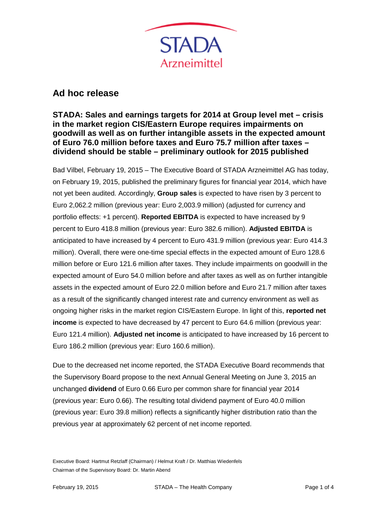

## **Ad hoc release**

## **STADA: Sales and earnings targets for 2014 at Group level met – crisis in the market region CIS/Eastern Europe requires impairments on goodwill as well as on further intangible assets in the expected amount of Euro 76.0 million before taxes and Euro 75.7 million after taxes – dividend should be stable – preliminary outlook for 2015 published**

Bad Vilbel, February 19, 2015 – The Executive Board of STADA Arzneimittel AG has today, on February 19, 2015, published the preliminary figures for financial year 2014, which have not yet been audited. Accordingly, **Group sales** is expected to have risen by 3 percent to Euro 2,062.2 million (previous year: Euro 2,003.9 million) (adjusted for currency and portfolio effects: +1 percent). **Reported EBITDA** is expected to have increased by 9 percent to Euro 418.8 million (previous year: Euro 382.6 million). **Adjusted EBITDA** is anticipated to have increased by 4 percent to Euro 431.9 million (previous year: Euro 414.3 million). Overall, there were one-time special effects in the expected amount of Euro 128.6 million before or Euro 121.6 million after taxes. They include impairments on goodwill in the expected amount of Euro 54.0 million before and after taxes as well as on further intangible assets in the expected amount of Euro 22.0 million before and Euro 21.7 million after taxes as a result of the significantly changed interest rate and currency environment as well as ongoing higher risks in the market region CIS/Eastern Europe. In light of this, **reported net income** is expected to have decreased by 47 percent to Euro 64.6 million (previous year: Euro 121.4 million). **Adjusted net income** is anticipated to have increased by 16 percent to Euro 186.2 million (previous year: Euro 160.6 million).

Due to the decreased net income reported, the STADA Executive Board recommends that the Supervisory Board propose to the next Annual General Meeting on June 3, 2015 an unchanged **dividend** of Euro 0.66 Euro per common share for financial year 2014 (previous year: Euro 0.66). The resulting total dividend payment of Euro 40.0 million (previous year: Euro 39.8 million) reflects a significantly higher distribution ratio than the previous year at approximately 62 percent of net income reported.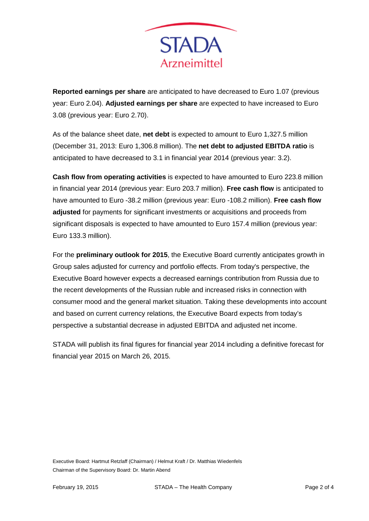

**Reported earnings per share** are anticipated to have decreased to Euro 1.07 (previous year: Euro 2.04). **Adjusted earnings per share** are expected to have increased to Euro 3.08 (previous year: Euro 2.70).

As of the balance sheet date, **net debt** is expected to amount to Euro 1,327.5 million (December 31, 2013: Euro 1,306.8 million). The **net debt to adjusted EBITDA ratio** is anticipated to have decreased to 3.1 in financial year 2014 (previous year: 3.2).

**Cash flow from operating activities** is expected to have amounted to Euro 223.8 million in financial year 2014 (previous year: Euro 203.7 million). **Free cash flow** is anticipated to have amounted to Euro -38.2 million (previous year: Euro -108.2 million). **Free cash flow adjusted** for payments for significant investments or acquisitions and proceeds from significant disposals is expected to have amounted to Euro 157.4 million (previous year: Euro 133.3 million).

For the **preliminary outlook for 2015**, the Executive Board currently anticipates growth in Group sales adjusted for currency and portfolio effects. From today's perspective, the Executive Board however expects a decreased earnings contribution from Russia due to the recent developments of the Russian ruble and increased risks in connection with consumer mood and the general market situation. Taking these developments into account and based on current currency relations, the Executive Board expects from today's perspective a substantial decrease in adjusted EBITDA and adjusted net income.

STADA will publish its final figures for financial year 2014 including a definitive forecast for financial year 2015 on March 26, 2015.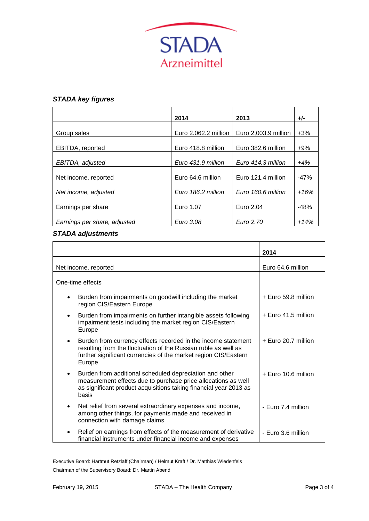

## *STADA key figures*

|                              | 2014                 | 2013                 | +/-    |
|------------------------------|----------------------|----------------------|--------|
| Group sales                  | Euro 2.062.2 million | Euro 2,003.9 million | $+3%$  |
|                              |                      |                      |        |
| EBITDA, reported             | Euro 418.8 million   | Euro 382.6 million   | $+9%$  |
| EBITDA, adjusted             | Euro 431.9 million   | Euro 414.3 million   | $+4%$  |
| Net income, reported         | Euro 64.6 million    | Euro 121.4 million   | $-47%$ |
| Net income, adjusted         | Euro 186.2 million   | Euro 160.6 million   | $+16%$ |
| Earnings per share           | Euro 1.07            | Euro 2.04            | $-48%$ |
| Earnings per share, adjusted | Euro 3.08            | Euro 2.70            | $+14%$ |

## *STADA adjustments*

|                                                                                                                                                                                                              | 2014                  |  |
|--------------------------------------------------------------------------------------------------------------------------------------------------------------------------------------------------------------|-----------------------|--|
| Net income, reported                                                                                                                                                                                         | Euro 64.6 million     |  |
| One-time effects                                                                                                                                                                                             |                       |  |
| Burden from impairments on goodwill including the market<br>$\bullet$<br>region CIS/Eastern Europe                                                                                                           | + Euro 59.8 million   |  |
| Burden from impairments on further intangible assets following<br>impairment tests including the market region CIS/Eastern<br>Europe                                                                         | + Euro 41.5 million   |  |
| Burden from currency effects recorded in the income statement<br>resulting from the fluctuation of the Russian ruble as well as<br>further significant currencies of the market region CIS/Eastern<br>Europe | $+$ Euro 20.7 million |  |
| Burden from additional scheduled depreciation and other<br>measurement effects due to purchase price allocations as well<br>as significant product acquisitions taking financial year 2013 as<br>basis       | $+$ Euro 10.6 million |  |
| Net relief from several extraordinary expenses and income,<br>٠<br>among other things, for payments made and received in<br>connection with damage claims                                                    | - Euro 7.4 million    |  |
| Relief on earnings from effects of the measurement of derivative<br>$\bullet$<br>financial instruments under financial income and expenses                                                                   | - Euro 3.6 million    |  |